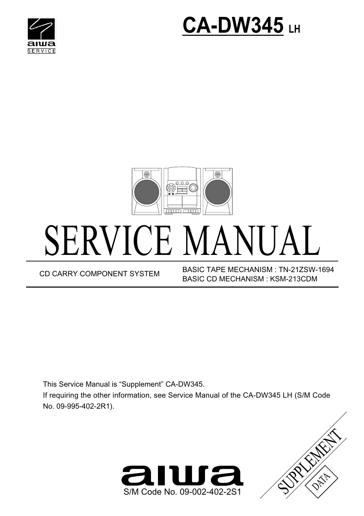





## SERVICE MANUAL

BASIC TAPE MECHANISM : TN-21ZSW-1694 CD CARRY COMPONENT SYSTEM BASIC TAPE MECHANISM : IN-ZIZSW-<br>BASIC CD MECHANISM : KSM-213CDM

This Service Manual is "Supplement" CA-DW345. If requiring the other information, see Service Manual of the CA-DW345 LH (S/M Code No. 09-995-402-2R1).



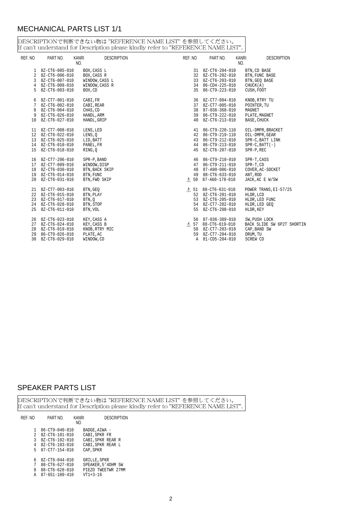## MECHANICAL PARTS LIST 1/1

DESCRIPTIONで判断できない物は "REFERENCE NAME LIST" を参照してください。<br>If can't understand for Description please kindly refer to "REFERENCE NAME LIST".

| REF. NO | PART NO.                                                                                                              | KANRI<br>NO.                                                                | <b>DESCRIPTION</b> | REF. NO | PART NO.                                                                                                                   | KANRI<br>NO. | <b>DESCRIPTION</b>                                                                           |
|---------|-----------------------------------------------------------------------------------------------------------------------|-----------------------------------------------------------------------------|--------------------|---------|----------------------------------------------------------------------------------------------------------------------------|--------------|----------------------------------------------------------------------------------------------|
|         | 1 8Z-CT6-005-010<br>2 8Z-CT6-006-010<br>3 8Z-CT6-007-010<br>4 8Z-CT6-008-010                                          | BOX, CASS L<br>BOX, CASS R<br>WINDOW, CASS L<br>WINDOW, CASS R              |                    |         | 31 8Z-CT6-204-010<br>32 8Z-CT6-202-010<br>33 8Z-CT6-203-010<br>34 86-CD4-225-010                                           |              | BTN, CD BASE<br>BTN, FUNC BASE<br>BTN, GEO BASE<br>CHUCK(A)                                  |
|         | 5 8Z-CT6-003-010<br>6 8Z-CT7-001-010<br>7 8Z-CT6-002-010<br>8 8Z-CT6-004-010<br>9 8Z-CT6-026-010<br>10 8Z-CT6-027-010 | BOX, CD<br>CABI, FR<br>CABI, REAR<br>CHAS, CD<br>HANDL , ARM<br>HANDL, GRIP |                    |         | 35 86-CT9-223-010<br>36 8Z-CT7-004-010<br>37 8Z-CT7-005-010<br>38 87-036-368-010<br>39 86-CT9-222-010<br>40 8Z-CT6-213-010 |              | CUSH, FOOT<br>KNOB, RTRY TU<br>POINTER, TU<br>MAGNET<br>PLATE, MAGNET<br>BASE, CHUCK         |
|         | 11 8Z-CT7-008-010<br>12 8Z-CT6-022-010<br>13 8Z-CT6-025-010<br>14 8Z-CT6-010-010<br>15 8Z-CT6-018-010                 | LENS, LED<br>LENS,0<br>LID, BATT<br>PANEL, FR<br>RING, O                    |                    |         | 41 86-CT9-220-110<br>42 86-CT9-219-110<br>43 86-CT9-212-010<br>44 86-CT9-213-010<br>45 8Z-CT6-207-010                      |              | OIL-DMPR, BRACKET<br>OIL-DMPR, GEAR<br>SPR-C, BATT LINK<br>$SPR-C$ , $BATT(-)$<br>SPR-P, REC |
|         | 16 8Z-CT7-206-010<br>17 8Z-CT7-009-010<br>18 8Z-CT6-030-010<br>19 8Z-CT6-014-010<br>20 8Z-CT6-031-010                 | SPR-P, BAND<br>WINDOW, DISP<br>BTN, BACK SKIP<br>BTN, FUNC<br>BTN, FWD SKIP |                    |         | 46 86-CT9-210-010<br>47 86-CT9-211-010<br>48 87-A90-086-010<br>49 88-CT6-633-010<br>$\Lambda$ 50 87-A60-178-010            |              | SPR-T, CASS<br>SPR-T, CD<br>COVER, AC-SOCKET<br>ANT, ROD<br>JACK, AC E W/SW                  |
|         | 21 8Z-CT7-003-010<br>22 8Z-CT6-015-010<br>23 8Z-CT6-017-010<br>24 8Z-CT6-028-010<br>25 8Z-CT6-011-010                 | BTN, GEO<br>BTN, PLAY<br>BTN, O<br>BTN, STOP<br>BTN, VOL                    |                    |         | /\ 51 88-CT6-631-010<br>52 8Z-CT6-201-010<br>53 8Z-CT6-205-010<br>54 8Z-CT7-202-010<br>55 8Z-CT6-208-010                   |              | POWER TRANS, EI-57/25<br>HLDR, LCD<br>HLDR, LED FUNC<br>HLDR, LED GEO<br>HLDR, KEY           |
|         | 26 8Z-CT6-023-010<br>27 8Z-CT6-024-010<br>28 8Z-CT6-019-010<br>29 86-CT9-026-010<br>30 8Z-CT6-029-010                 | KEY, CASS A<br>KEY, CASS B<br>KNOB, RTRY MIC<br>PLATE, AC<br>WINDOW, CD     |                    |         | 56 87-036-389-010<br>/\ 57 88-CT6-619-010<br>58 8Z-CT7-203-010<br>59 8Z-CT7-204-010<br>A 81-CD5-204-010                    |              | SW, PUSH LOCK<br>BACK SLIDE SW 6P2T SHORTIN<br>CAP, BAND SW<br>DRUM, TU<br>SCREW CD          |

## SPEAKER PARTS LIST

DESCRIPTIONで判断できない物は "REFERENCE NAME LIST" を参照してください。<br>If can't understand for Description please kindly refer to "REFERENCE NAME LIST".

| REF. NO | PART NO.               | <b>KANRI</b><br>NO. | <b>DESCRIPTION</b> |  |
|---------|------------------------|---------------------|--------------------|--|
| 1       | $86 - CT9 - 040 - 010$ |                     | BADGE, AIWA -      |  |
| 2       | 8Z-CT6-101-010         |                     | CABI, SPKR FR      |  |
| 3       | 8Z-CT6-102-010         |                     | CABI, SPKR REAR R  |  |
|         | 4 8Z-CT6-103-010       |                     | CABI, SPKR REAR L  |  |
| 5.      | $87 - CT7 - 154 - 010$ |                     | CAP, SPKR          |  |
| 6       | $8Z - C$ T6-044-010    |                     | GRILLE, SPKR       |  |
| 7       | 88-CT6-627-010         |                     | SPEAKER, 5'40HM 5W |  |
| 8       | 88-CT6-628-010         |                     | PIEZO TWEETWR 27MM |  |
| А       | 87-651-100-410         |                     | $VT1+3-16$         |  |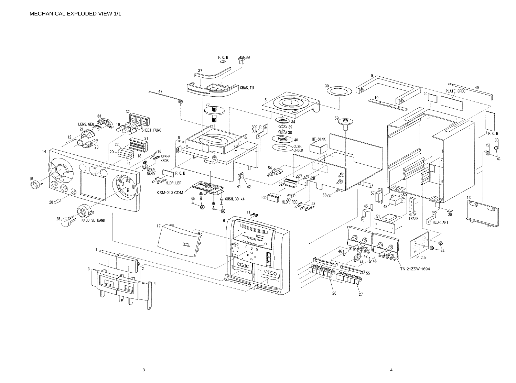